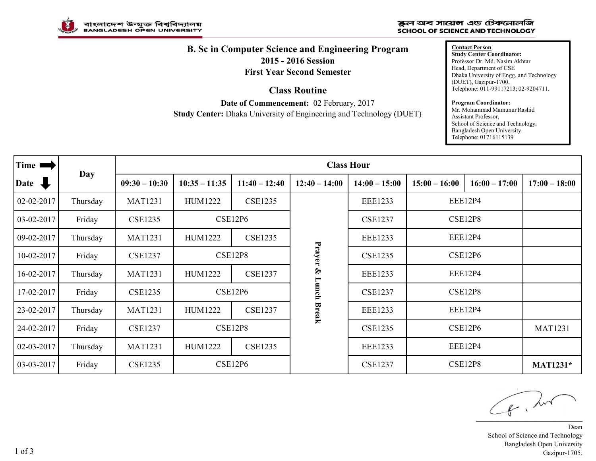

## ষ্কুল অব সায়েন্স এড টেকনোলজি **SCHOOL OF SCIENCE AND TECHNOLOGY**

## **B. Sc in Computer Science and Engineering Program 2015 - 2016 Session**

**First Year Second Semester**

**Class Routine**

**Date of Commencement:** 02 February, 2017 **Study Center:** Dhaka University of Engineering and Technology (DUET) **Contact Person Study Center Coordinator:** Professor Dr. Md. Nasim Akhtar Head, Department of CSE Dhaka University of Engg. and Technology (DUET), Gazipur-1700. Telephone: 011-99117213; 02-9204711.

## **Program Coordinator:**

Mr. Mohammad Mamunur Rashid Assistant Professor, School of Science and Technology, Bangladesh Open University. Telephone: 01716115139

| Time <b>r</b>  | Day      | <b>Class Hour</b> |                                                             |                 |                 |                 |                    |                 |                 |  |
|----------------|----------|-------------------|-------------------------------------------------------------|-----------------|-----------------|-----------------|--------------------|-----------------|-----------------|--|
| Date $\bigcup$ |          | $09:30 - 10:30$   | $10:35 - 11:35$                                             | $11:40 - 12:40$ | $12:40 - 14:00$ | $14:00 - 15:00$ | $15:00 - 16:00$    | $16:00 - 17:00$ | $17:00 - 18:00$ |  |
| 02-02-2017     | Thursday | <b>MAT1231</b>    | <b>HUM1222</b>                                              | <b>CSE1235</b>  |                 | <b>EEE1233</b>  | EEE12P4            |                 |                 |  |
| 03-02-2017     | Friday   | <b>CSE1235</b>    | CSE12P6                                                     |                 |                 | <b>CSE1237</b>  | CSE12P8<br>EEE12P4 |                 |                 |  |
| 09-02-2017     | Thursday | <b>MAT1231</b>    | <b>CSE1235</b><br><b>HUM1222</b>                            |                 |                 | <b>EEE1233</b>  |                    |                 |                 |  |
| 10-02-2017     | Friday   | <b>CSE1237</b>    | CSE12P8                                                     |                 | Prayer          | <b>CSE1235</b>  | <b>CSE12P6</b>     |                 |                 |  |
| 16-02-2017     | Thursday | <b>MAT1231</b>    | HUM1222                                                     | <b>CSE1237</b>  | $\mathcal{S}$   | <b>EEE1233</b>  | EEE12P4            |                 |                 |  |
| 17-02-2017     | Friday   | <b>CSE1235</b>    | <b>CSE12P6</b>                                              |                 | Lunch           | <b>CSE1237</b>  | <b>CSE12P8</b>     |                 |                 |  |
| 23-02-2017     | Thursday | <b>MAT1231</b>    | Break<br><b>HUM1222</b><br><b>CSE1237</b><br><b>EEE1233</b> |                 |                 | <b>EEE12P4</b>  |                    |                 |                 |  |
| 24-02-2017     | Friday   | <b>CSE1237</b>    | CSE12P8                                                     |                 |                 | <b>CSE1235</b>  | <b>CSE12P6</b>     |                 | <b>MAT1231</b>  |  |
| 02-03-2017     | Thursday | <b>MAT1231</b>    | <b>HUM1222</b>                                              | <b>CSE1235</b>  |                 | <b>EEE1233</b>  | EEE12P4            |                 |                 |  |
| 03-03-2017     | Friday   | <b>CSE1235</b>    | CSE12P6                                                     |                 |                 | <b>CSE1237</b>  | CSE12P8            |                 | <b>MAT1231*</b> |  |

\_\_\_\_\_\_\_\_\_\_\_\_\_\_\_\_\_\_\_\_\_\_\_\_\_\_\_\_\_\_\_

Dean School of Science and Technology Bangladesh Open University Gazipur-1705.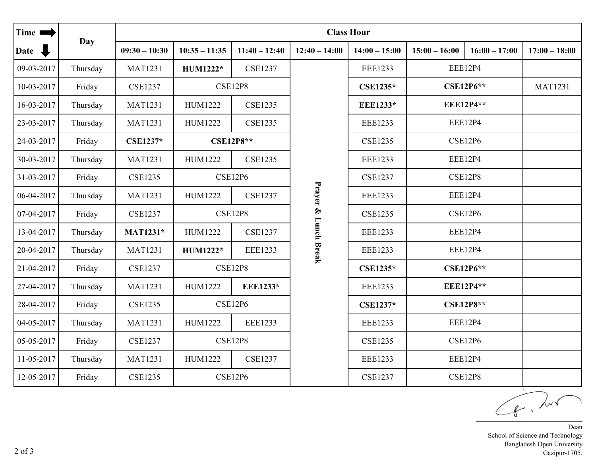| Time 1     | <b>Day</b> | <b>Class Hour</b> |                                  |                 |                      |                                  |                  |                  |                 |  |
|------------|------------|-------------------|----------------------------------|-----------------|----------------------|----------------------------------|------------------|------------------|-----------------|--|
| Date \     |            | $09:30 - 10:30$   | $10:35 - 11:35$                  | $11:40 - 12:40$ | $12:40 - 14:00$      | $14:00 - 15:00$                  | $15:00 - 16:00$  | $16:00 - 17:00$  | $17:00 - 18:00$ |  |
| 09-03-2017 | Thursday   | <b>MAT1231</b>    | HUM1222*                         | <b>CSE1237</b>  |                      | <b>EEE1233</b>                   | EEE12P4          |                  |                 |  |
| 10-03-2017 | Friday     | <b>CSE1237</b>    | <b>CSE12P8</b>                   |                 |                      | <b>CSE1235*</b>                  | <b>CSE12P6**</b> |                  | <b>MAT1231</b>  |  |
| 16-03-2017 | Thursday   | <b>MAT1231</b>    | HUM1222                          | <b>CSE1235</b>  |                      | <b>EEE1233*</b>                  | <b>EEE12P4**</b> |                  |                 |  |
| 23-03-2017 | Thursday   | <b>MAT1231</b>    | HUM1222                          | <b>CSE1235</b>  |                      | <b>EEE1233</b>                   | EEE12P4          |                  |                 |  |
| 24-03-2017 | Friday     | <b>CSE1237*</b>   | <b>CSE12P8**</b>                 |                 |                      | <b>CSE12P6</b><br><b>CSE1235</b> |                  |                  |                 |  |
| 30-03-2017 | Thursday   | <b>MAT1231</b>    | HUM1222                          | <b>CSE1235</b>  |                      | <b>EEE1233</b>                   | <b>EEE12P4</b>   |                  |                 |  |
| 31-03-2017 | Friday     | <b>CSE1235</b>    | <b>CSE12P6</b>                   |                 |                      | <b>CSE1237</b>                   | CSE12P8          |                  |                 |  |
| 06-04-2017 | Thursday   | <b>MAT1231</b>    | HUM1222                          | <b>CSE1237</b>  | Prayer & Lunch Break | <b>EEE1233</b>                   | <b>EEE12P4</b>   |                  |                 |  |
| 07-04-2017 | Friday     | <b>CSE1237</b>    | <b>CSE12P8</b>                   |                 |                      | <b>CSE1235</b>                   | <b>CSE12P6</b>   |                  |                 |  |
| 13-04-2017 | Thursday   | <b>MAT1231*</b>   | <b>CSE1237</b><br><b>HUM1222</b> |                 |                      | <b>EEE1233</b>                   | <b>EEE12P4</b>   |                  |                 |  |
| 20-04-2017 | Thursday   | <b>MAT1231</b>    | HUM1222*                         | <b>EEE1233</b>  |                      | <b>EEE1233</b>                   | EEE12P4          |                  |                 |  |
| 21-04-2017 | Friday     | <b>CSE1237</b>    | <b>CSE12P8</b>                   |                 |                      | <b>CSE1235*</b>                  |                  | <b>CSE12P6**</b> |                 |  |
| 27-04-2017 | Thursday   | <b>MAT1231</b>    | HUM1222                          | <b>EEE1233*</b> |                      | <b>EEE1233</b>                   | <b>EEE12P4**</b> |                  |                 |  |
| 28-04-2017 | Friday     | <b>CSE1235</b>    | <b>CSE12P6</b>                   |                 |                      | <b>CSE1237*</b>                  |                  | <b>CSE12P8**</b> |                 |  |
| 04-05-2017 | Thursday   | <b>MAT1231</b>    | <b>HUM1222</b>                   | <b>EEE1233</b>  |                      | <b>EEE1233</b>                   |                  | EEE12P4          |                 |  |
| 05-05-2017 | Friday     | <b>CSE1237</b>    | <b>CSE12P8</b>                   |                 |                      | <b>CSE1235</b>                   | <b>CSE12P6</b>   |                  |                 |  |
| 11-05-2017 | Thursday   | <b>MAT1231</b>    | HUM1222                          | <b>CSE1237</b>  |                      | <b>EEE1233</b>                   |                  | EEE12P4          |                 |  |
| 12-05-2017 | Friday     | <b>CSE1235</b>    | <b>CSE12P6</b>                   |                 |                      | <b>CSE1237</b>                   | <b>CSE12P8</b>   |                  |                 |  |

 $\sqrt{f}$ ,  $\lambda$ 

Dean School of Science and Technology Bangladesh Open University Gazipur-1705.